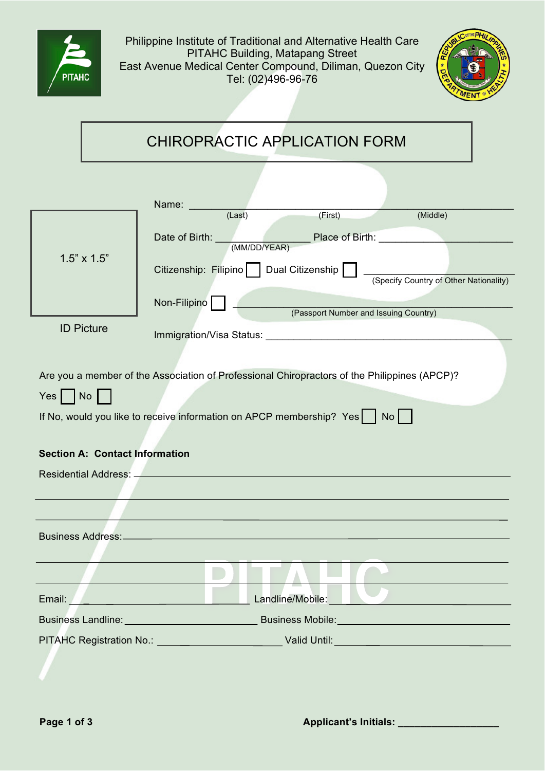



|                         | <b>CHIROPRACTIC APPLICATION FORM</b>                                                                                                                                                                                           |                                                                                                                                                                                                                                                                                                                                                                                                                                                                           |  |
|-------------------------|--------------------------------------------------------------------------------------------------------------------------------------------------------------------------------------------------------------------------------|---------------------------------------------------------------------------------------------------------------------------------------------------------------------------------------------------------------------------------------------------------------------------------------------------------------------------------------------------------------------------------------------------------------------------------------------------------------------------|--|
|                         |                                                                                                                                                                                                                                | Name: ______                                                                                                                                                                                                                                                                                                                                                                                                                                                              |  |
|                         | $1.5" \times 1.5"$                                                                                                                                                                                                             | (Last)<br>(First)<br>(Middle)<br>Date of Birth:<br>MM/DD/YEAR) Place of Birth:<br>Citizenship: Filipino     Dual Citizenship  <br>(Specify Country of Other Nationality)<br>Non-Filipino                                                                                                                                                                                                                                                                                  |  |
|                         | <b>ID Picture</b>                                                                                                                                                                                                              | (Passport Number and Issuing Country)                                                                                                                                                                                                                                                                                                                                                                                                                                     |  |
| $Yes \mid \mid No \mid$ |                                                                                                                                                                                                                                | Immigration/Visa Status: New York Changes and Changes and Changes and Changes and Changes and Changes and Changes and Changes and Changes and Changes and Changes and Changes and Changes and Changes and Changes and Changes<br>Are you a member of the Association of Professional Chiropractors of the Philippines (APCP)?<br>If No, would you like to receive information on APCP membership? Yes $\begin{bmatrix} 1 & 0 & 1 \\ 0 & 1 & 0 \\ 0 & 0 & 1 \end{bmatrix}$ |  |
|                         | <b>Section A: Contact Information</b>                                                                                                                                                                                          |                                                                                                                                                                                                                                                                                                                                                                                                                                                                           |  |
|                         |                                                                                                                                                                                                                                |                                                                                                                                                                                                                                                                                                                                                                                                                                                                           |  |
|                         |                                                                                                                                                                                                                                |                                                                                                                                                                                                                                                                                                                                                                                                                                                                           |  |
|                         | <b>Business Address:</b>                                                                                                                                                                                                       |                                                                                                                                                                                                                                                                                                                                                                                                                                                                           |  |
|                         |                                                                                                                                                                                                                                | Landline/Mobile:<br>Email: Email: Email: Email: Email: Email: Email: Email: Email: Email: Email: Email: Email: Email: Email: Email: Email: Email: Email: Email: Email: Email: Email: Email: Email: Email: Email: Email: Email: Email: Email: Email                                                                                                                                                                                                                        |  |
|                         | Business Mobile: Management of the Management of the Management of the Management of the Management of the Management of the Management of the Management of the Management of the Management of the Management of the Managem |                                                                                                                                                                                                                                                                                                                                                                                                                                                                           |  |
|                         |                                                                                                                                                                                                                                |                                                                                                                                                                                                                                                                                                                                                                                                                                                                           |  |
|                         |                                                                                                                                                                                                                                |                                                                                                                                                                                                                                                                                                                                                                                                                                                                           |  |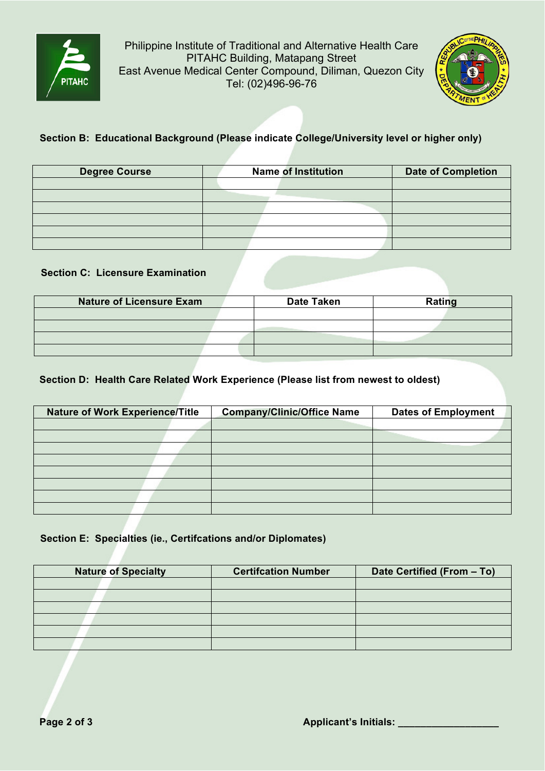

Philippine Institute of Traditional and Alternative Health Care PITAHC Building, Matapang Street East Avenue Medical Center Compound, Diliman, Quezon City Tel: (02)496-96-76



# **Section B: Educational Background (Please indicate College/University level or higher only)**

| <b>Degree Course</b> | <b>Name of Institution</b> | <b>Date of Completion</b> |
|----------------------|----------------------------|---------------------------|
|                      |                            |                           |
|                      |                            |                           |
|                      |                            |                           |
|                      |                            |                           |
|                      |                            |                           |
|                      |                            |                           |

## **Section C: Licensure Examination**

| <b>Nature of Licensure Exam</b> | <b>Date Taken</b> | Rating |
|---------------------------------|-------------------|--------|
|                                 |                   |        |
|                                 |                   |        |
|                                 |                   |        |
|                                 |                   |        |

## **Section D: Health Care Related Work Experience (Please list from newest to oldest)**

| <b>Nature of Work Experience/Title</b> | <b>Company/Clinic/Office Name</b> | <b>Dates of Employment</b> |
|----------------------------------------|-----------------------------------|----------------------------|
|                                        |                                   |                            |
|                                        |                                   |                            |
|                                        |                                   |                            |
|                                        |                                   |                            |
|                                        |                                   |                            |
|                                        |                                   |                            |
|                                        |                                   |                            |
|                                        |                                   |                            |

## **Section E: Specialties (ie., Certifcations and/or Diplomates)**

| <b>Nature of Specialty</b> | <b>Certifcation Number</b> | Date Certified (From - To) |
|----------------------------|----------------------------|----------------------------|
|                            |                            |                            |
|                            |                            |                            |
|                            |                            |                            |
|                            |                            |                            |
|                            |                            |                            |
|                            |                            |                            |